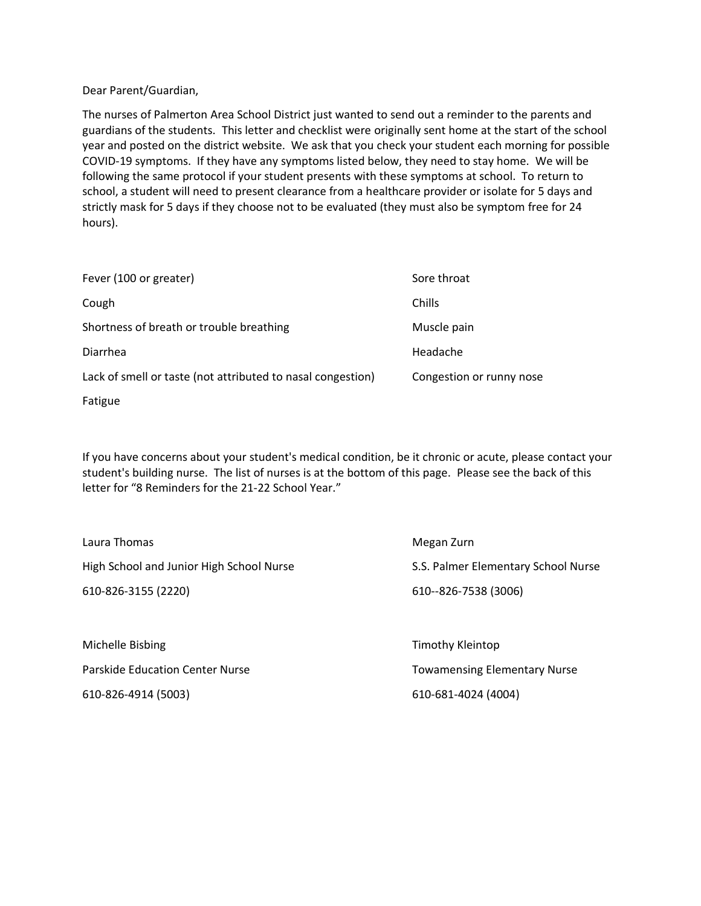Dear Parent/Guardian,

The nurses of Palmerton Area School District just wanted to send out a reminder to the parents and guardians of the students. This letter and checklist were originally sent home at the start of the school year and posted on the district website. We ask that you check your student each morning for possible COVID-19 symptoms. If they have any symptoms listed below, they need to stay home. We will be following the same protocol if your student presents with these symptoms at school. To return to school, a student will need to present clearance from a healthcare provider or isolate for 5 days and strictly mask for 5 days if they choose not to be evaluated (they must also be symptom free for 24 hours).

| Fever (100 or greater)                                      | Sore throat              |
|-------------------------------------------------------------|--------------------------|
| Cough                                                       | Chills                   |
| Shortness of breath or trouble breathing                    | Muscle pain              |
| Diarrhea                                                    | Headache                 |
| Lack of smell or taste (not attributed to nasal congestion) | Congestion or runny nose |
| Fatigue                                                     |                          |

If you have concerns about your student's medical condition, be it chronic or acute, please contact your student's building nurse. The list of nurses is at the bottom of this page. Please see the back of this letter for "8 Reminders for the 21-22 School Year."

| Laura Thomas                             | Megan Zurn                          |
|------------------------------------------|-------------------------------------|
| High School and Junior High School Nurse | S.S. Palmer Elementary School Nurse |
| 610-826-3155 (2220)                      | 610--826-7538 (3006)                |
|                                          |                                     |
| Michelle Bisbing                         | Timothy Kleintop                    |
| <b>Parskide Education Center Nurse</b>   | <b>Towamensing Elementary Nurse</b> |

610-826-4914 (5003) 610-681-4024 (4004)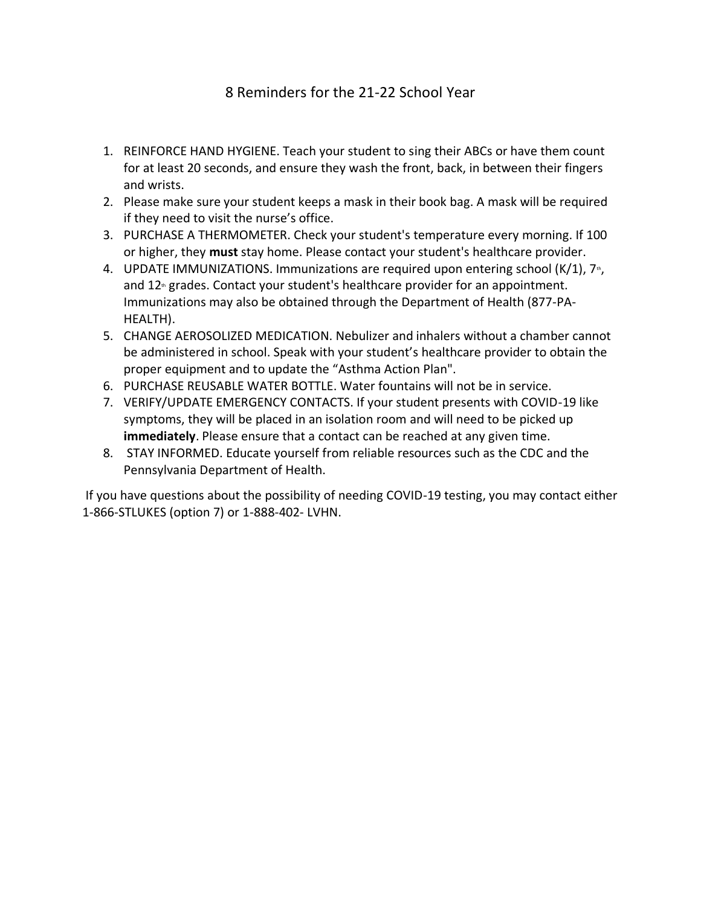## 8 Reminders for the 21-22 School Year

- 1. REINFORCE HAND HYGIENE. Teach your student to sing their ABCs or have them count for at least 20 seconds, and ensure they wash the front, back, in between their fingers and wrists.
- 2. Please make sure your student keeps a mask in their book bag. A mask will be required if they need to visit the nurse's office.
- 3. PURCHASE A THERMOMETER. Check your student's temperature every morning. If 100 or higher, they **must** stay home. Please contact your student's healthcare provider.
- 4. UPDATE IMMUNIZATIONS. Immunizations are required upon entering school  $(K/1)$ ,  $7<sub>th</sub>$ , and  $12<sup>n</sup>$  grades. Contact your student's healthcare provider for an appointment. Immunizations may also be obtained through the Department of Health (877-PA-HEALTH).
- 5. CHANGE AEROSOLIZED MEDICATION. Nebulizer and inhalers without a chamber cannot be administered in school. Speak with your student's healthcare provider to obtain the proper equipment and to update the "Asthma Action Plan".
- 6. PURCHASE REUSABLE WATER BOTTLE. Water fountains will not be in service.
- 7. VERIFY/UPDATE EMERGENCY CONTACTS. If your student presents with COVID-19 like symptoms, they will be placed in an isolation room and will need to be picked up **immediately**. Please ensure that a contact can be reached at any given time.
- 8. STAY INFORMED. Educate yourself from reliable resources such as the CDC and the Pennsylvania Department of Health.

If you have questions about the possibility of needing COVID-19 testing, you may contact either 1-866-STLUKES (option 7) or 1-888-402- LVHN.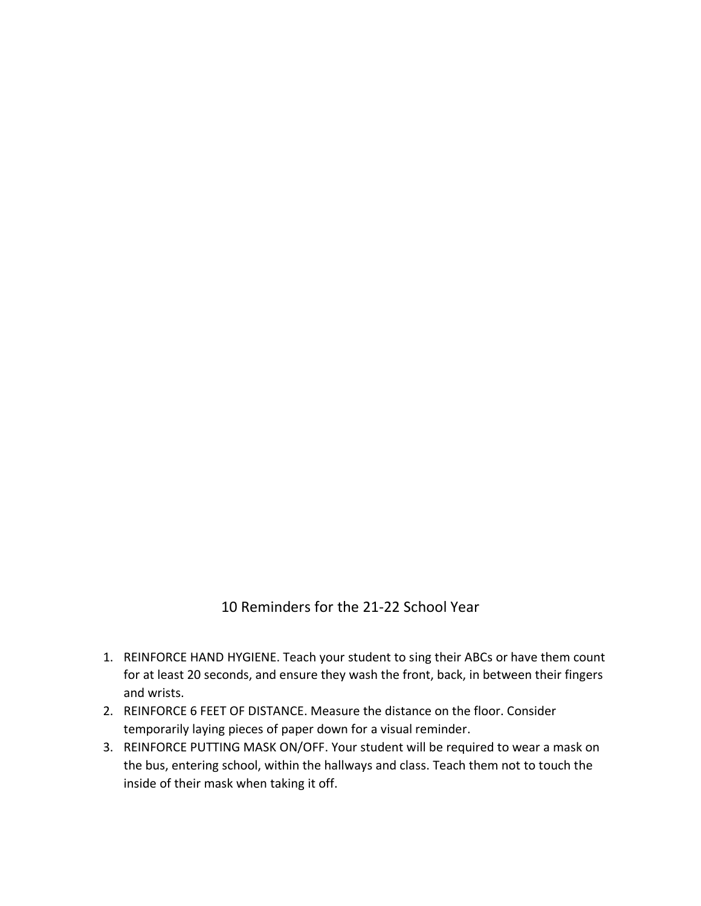## 10 Reminders for the 21-22 School Year

- 1. REINFORCE HAND HYGIENE. Teach your student to sing their ABCs or have them count for at least 20 seconds, and ensure they wash the front, back, in between their fingers and wrists.
- 2. REINFORCE 6 FEET OF DISTANCE. Measure the distance on the floor. Consider temporarily laying pieces of paper down for a visual reminder.
- 3. REINFORCE PUTTING MASK ON/OFF. Your student will be required to wear a mask on the bus, entering school, within the hallways and class. Teach them not to touch the inside of their mask when taking it off.